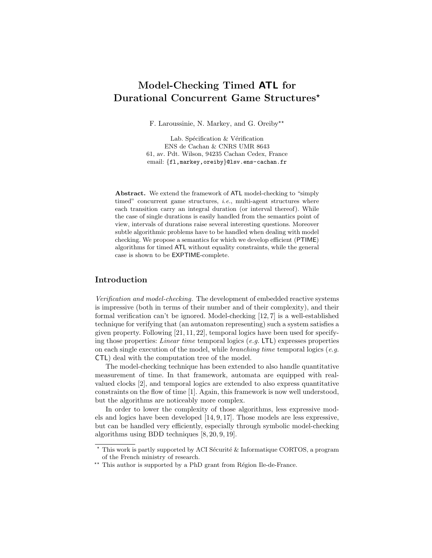# Model-Checking Timed ATL for Durational Concurrent Game Structures\*

F. Laroussinie, N. Markey, and G. Oreiby\*\*

Lab. Spécification  $\&$  Vérification ENS de Cachan & CNRS UMR 8643 61, av. Pdt. Wilson, 94235 Cachan Cedex, France email: {fl,markey, oreiby}@lsv.ens-cachan.fr

Abstract. We extend the framework of ATL model-checking to "simply timed" concurrent game structures,  $i.e.,$  multi-agent structures where each transition carry an integral duration (or interval thereof). While the case of single durations is easily handled from the semantics point of view, intervals of durations raise several interesting questions. Moreover subtle algorithmic problems have to be handled when dealing with model checking. We propose a semantics for which we develop efficient (PTIME) algorithms for timed ATL without equality constraints, while the general case is shown to be EXPTIME-complete.

# Introduction

Verification and model-checking. The development of embedded reactive systems is impressive (both in terms of their number and of their complexity), and their formal verification can't be ignored. Model-checking [12, 7] is a well-established technique for verifying that (an automaton representing) such a system satisfies a given property. Following [21, 11, 22], temporal logics have been used for specifying those properties: *Linear time* temporal logics  $(e.g. \text{LTL})$  expresses properties on each single execution of the model, while *branching time* temporal logics (*e.g.*) CTL) deal with the computation tree of the model.

The model-checking technique has been extended to also handle quantitative measurement of time. In that framework, automata are equipped with realvalued clocks [2], and temporal logics are extended to also express quantitative constraints on the flow of time [1]. Again, this framework is now well understood, but the algorithms are noticeably more complex.

In order to lower the complexity of those algorithms, less expressive models and logics have been developed [14, 9, 17]. Those models are less expressive, but can be handled very efficiently, especially through symbolic model-checking algorithms using BDD techniques [8, 20, 9, 19].

 $^{\star}$  This work is partly supported by ACI Sécurité & Informatique CORTOS, a program of the French ministry of research.

<sup>\*\*</sup> This author is supported by a PhD grant from Région Ile-de-France.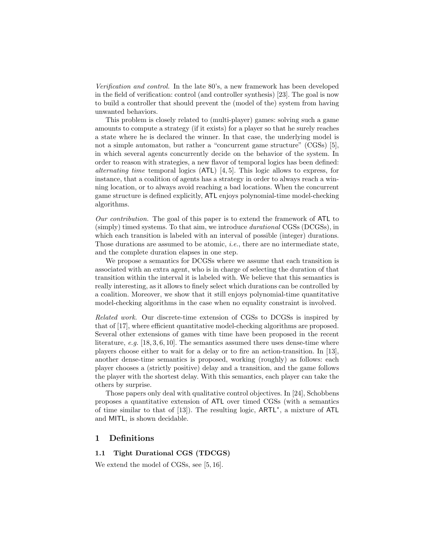Verification and control. In the late 80's, a new framework has been developed in the field of verification: control (and controller synthesis) [23]. The goal is now to build a controller that should prevent the (model of the) system from having unwanted behaviors.

This problem is closely related to (multi-player) games: solving such a game amounts to compute a strategy (if it exists) for a player so that he surely reaches a state where he is declared the winner. In that case, the underlying model is not a simple automaton, but rather a "concurrent game structure" (CGSs) [5], in which several agents concurrently decide on the behavior of the system. In order to reason with strategies, a new flavor of temporal logics has been defined: alternating time temporal logics (ATL) [4, 5]. This logic allows to express, for instance, that a coalition of agents has a strategy in order to always reach a winning location, or to always avoid reaching a bad locations. When the concurrent game structure is defined explicitly, ATL enjoys polynomial-time model-checking algorithms.

Our contribution. The goal of this paper is to extend the framework of ATL to (simply) timed systems. To that aim, we introduce durational CGSs (DCGSs), in which each transition is labeled with an interval of possible (integer) durations. Those durations are assumed to be atomic, i.e., there are no intermediate state, and the complete duration elapses in one step.

We propose a semantics for DCGSs where we assume that each transition is associated with an extra agent, who is in charge of selecting the duration of that transition within the interval it is labeled with. We believe that this semantics is really interesting, as it allows to finely select which durations can be controlled by a coalition. Moreover, we show that it still enjoys polynomial-time quantitative model-checking algorithms in the case when no equality constraint is involved.

Related work. Our discrete-time extension of CGSs to DCGSs is inspired by that of [17], where efficient quantitative model-checking algorithms are proposed. Several other extensions of games with time have been proposed in the recent literature, e.g.  $[18, 3, 6, 10]$ . The semantics assumed there uses dense-time where players choose either to wait for a delay or to fire an action-transition. In [13], another dense-time semantics is proposed, working (roughly) as follows: each player chooses a (strictly positive) delay and a transition, and the game follows the player with the shortest delay. With this semantics, each player can take the others by surprise.

Those papers only deal with qualitative control objectives. In [24], Schobbens proposes a quantitative extension of ATL over timed CGSs (with a semantics of time similar to that of [13]). The resulting logic, ARTL<sup>∗</sup> , a mixture of ATL and MITL, is shown decidable.

# 1 Definitions

## 1.1 Tight Durational CGS (TDCGS)

We extend the model of CGSs, see [5, 16].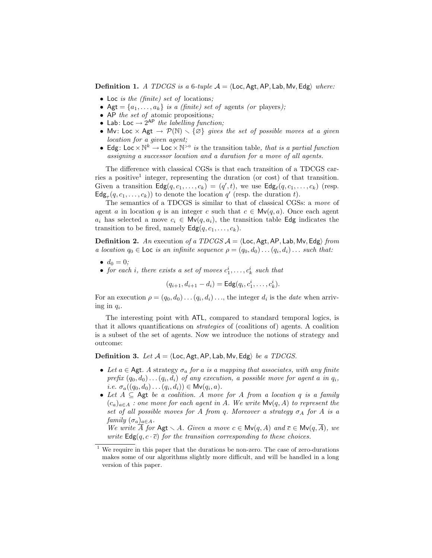**Definition 1.** A TDCGS is a 6-tuple  $A = \langle \text{Loc}, \text{Agt}, \text{AP}, \text{Lab}, \text{Mv}, \text{Edg} \rangle$  where:

- Loc *is the (finite) set of locations*;
- Agt =  $\{a_1, \ldots, a_k\}$  is a *(finite) set of* agents *(or players)*;
- AP the set of atomic propositions;
- Lab: Loc  $\rightarrow 2^{AP}$  the labelling function;
- Mv: Loc  $\times$  Agt  $\rightarrow$   $\mathcal{P}(\mathbb{N}) \setminus {\emptyset}$  gives the set of possible moves at a given location for a given agent;
- Edg: Loc  $\times \mathbb{N}^k \to$  Loc  $\times \mathbb{N}^{>0}$  is the transition table, that is a partial function assigning a successor location and a duration for a move of all agents.

The difference with classical CGSs is that each transition of a TDCGS carries a positive<sup>1</sup> integer, representing the duration (or cost) of that transition. Given a transition  $\mathsf{Edg}(q, c_1, \ldots, c_k) = (q', t)$ , we use  $\mathsf{Edg}_{\ell}(q, c_1, \ldots, c_k)$  (resp.  $\mathsf{Edg}_{\tau}(q, c_1, \ldots, c_k))$  to denote the location  $q'$  (resp. the duration t).

The semantics of a TDCGS is similar to that of classical CGSs: a move of agent a in location q is an integer c such that  $c \in Mv(q, a)$ . Once each agent  $a_i$  has selected a move  $c_i \in Mv(q, a_i)$ , the transition table Edg indicates the transition to be fired, namely  $\textsf{Edg}(q, c_1, \ldots, c_k)$ .

**Definition 2.** An execution of a TDCGS  $A = \langle$  Loc, Agt, AP, Lab, Mv, Edg $\rangle$  from a location  $q_0 \in \textsf{Loc}$  is an infinite sequence  $\rho = (q_0, d_0) \dots (q_i, d_i) \dots$  such that:

- $d_0 = 0$ :
- for each *i*, there exists a set of moves  $c_1^i, \ldots, c_k^i$  such that

 $(q_{i+1}, d_{i+1} - d_i) = \mathsf{Edg}(q_i, c_1^i, \ldots, c_k^i).$ 

For an execution  $\rho = (q_0, d_0) \dots (q_i, d_i) \dots$ , the integer  $d_i$  is the *date* when arriving in  $q_i$ .

The interesting point with ATL, compared to standard temporal logics, is that it allows quantifications on strategies of (coalitions of) agents. A coalition is a subset of the set of agents. Now we introduce the notions of strategy and outcome:

**Definition 3.** Let  $A = \langle \text{Loc}, \text{Agt}, \text{AP}, \text{Lab}, \text{Mv}, \text{Edg} \rangle$  be a TDCGS.

- Let  $a \in$  Agt. A strategy  $\sigma_a$  for a is a mapping that associates, with any finite prefix  $(q_0, d_0) \ldots (q_i, d_i)$  of any execution, a possible move for agent a in  $q_i$ , *i.e.*  $\sigma_a((q_0, d_0) \dots (q_i, d_i)) \in M \vee (q_i, a)$ .
- Let  $A \subseteq$  Agt be a coalition. A move for A from a location q is a family  $(c_a)_{a \in A}$  : one move for each agent in A. We write  $Mv(q, A)$  to represent the set of all possible moves for A from q. Moreover a strategy  $\sigma_A$  for A is a family  $(\sigma_a)_{a \in A}$ .

We write  $\overline{A}$  for Agt  $\setminus A$ . Given a move  $c \in Mv(q, A)$  and  $\overline{c} \in Mv(q, \overline{A})$ , we write  $\textsf{Edg}(q, c \cdot \overline{c})$  for the transition corresponding to these choices.

 $^{\rm 1}$  We require in this paper that the durations be non-zero. The case of zero-durations makes some of our algorithms slightly more difficult, and will be handled in a long version of this paper.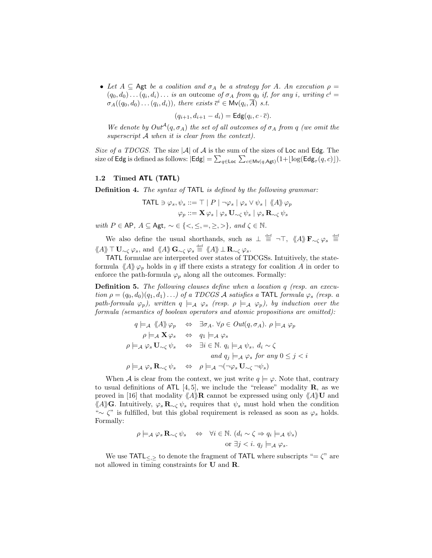• Let  $A \subseteq$  Agt be a coalition and  $\sigma_A$  be a strategy for A. An execution  $\rho =$  $(q_0, d_0) \dots (q_i, d_i) \dots$  is an outcome of  $\sigma_A$  from  $q_0$  if, for any i, writing  $c^i =$  $\sigma_A((q_0, d_0) \dots (q_i, d_i)),$  there exists  $\overline{c}^i \in M \vee (q_i, \overline{A})$  s.t.

$$
(q_{i+1}, d_{i+1} - d_i) = \mathsf{Edg}(q_i, c \cdot \overline{c}).
$$

We denote by  $Out^{\mathcal{A}}(q, \sigma_A)$  the set of all outcomes of  $\sigma_A$  from q (we omit the superscript A when it is clear from the context).

Size of a TDCGS. The size  $|\mathcal{A}|$  of  $\mathcal A$  is the sum of the sizes of Loc and Edg. The size of Edg is defined as follows:  $|\mathsf{Edg}| = \sum_{q \in \mathsf{Loc}} \sum_{c \in \mathsf{Mv}(q, \mathsf{Agt})} (1 + \lfloor \log(\mathsf{Edg}_{\tau}(q, c)) \rfloor).$ 

#### 1.2 Timed ATL (TATL)

Definition 4. The syntax of TATL is defined by the following grammar:

$$
\begin{aligned}\n\text{TATL} \ni \varphi_s, \psi_s &::= \top \mid P \mid \neg \varphi_s \mid \varphi_s \lor \psi_s \mid \langle \! \langle A \rangle \! \rangle \varphi_p \\
\varphi_p &::= \mathbf{X} \varphi_s \mid \varphi_s \mathbf{U}_{\sim \zeta} \psi_s \mid \varphi_s \mathbf{R}_{\sim \zeta} \psi_s\n\end{aligned}
$$

with  $P \in \mathsf{AP}, A \subseteq \mathsf{Agt}, \sim \in \{ \langle \langle \langle \langle \langle \langle \rangle \rangle \rangle \rangle, \langle \langle \rangle \rangle \} \mathsf{A} \subset \mathbb{N}.$ 

We also define the usual shorthands, such as  $\perp \stackrel{\text{def}}{=} \neg \top$ ,  $\langle\!\langle A \rangle\!\rangle \mathbf{F}_{\sim \zeta} \varphi_s \stackrel{\text{def}}{=}$  $\langle\!\langle A \rangle\!\rangle \top {\bf U}_{\sim \zeta} \, \varphi_s, \, \text{and } \, \langle\!\langle A \rangle\!\rangle \, {\bf G}_{\sim \zeta} \, \varphi_s \stackrel{\text{\tiny def}}{=} \langle\!\langle A \rangle\!\rangle \bot {\bf R}_{\sim \zeta} \, \varphi_s.$ 

TATL formulae are interpreted over states of TDCGSs. Intuitively, the stateformula  $\langle A \rangle \varphi_p$  holds in q iff there exists a strategy for coalition A in order to enforce the path-formula  $\varphi_p$  along all the outcomes. Formally:

**Definition 5.** The following clauses define when a location q (resp. an execution  $\rho = (q_0, d_0)(q_1, d_1) \ldots$ ) of a TDCGS A satisfies a TATL formula  $\varphi_s$  (resp. a path-formula  $\varphi_p$ ), written  $q \models_A \varphi_s$  (resp.  $\rho \models_A \varphi_p$ ), by induction over the formula (semantics of boolean operators and atomic propositions are omitted):

$$
q \models_A \langle A \rangle \varphi_p \Leftrightarrow \exists \sigma_A. \forall \rho \in Out(q, \sigma_A). \rho \models_A \varphi_p
$$
  
\n
$$
\rho \models_A \mathbf{X} \varphi_s \Leftrightarrow q_1 \models_A \varphi_s
$$
  
\n
$$
\rho \models_A \varphi_s \mathbf{U}_{\sim \zeta} \psi_s \Leftrightarrow \exists i \in \mathbb{N}. q_i \models_A \psi_s, d_i \sim \zeta
$$
  
\nand  $q_j \models_A \varphi_s \text{ for any } 0 \leq j < i$   
\n
$$
\rho \models_A \varphi_s \mathbf{R}_{\sim \zeta} \psi_s \Leftrightarrow \rho \models_A \neg (\neg \varphi_s \mathbf{U}_{\sim \zeta} \neg \psi_s)
$$

When A is clear from the context, we just write  $q \models \varphi$ . Note that, contrary to usual definitions of ATL  $[4, 5]$ , we include the "release" modality **R**, as we proved in [16] that modality  $\langle A \rangle \mathbf{R}$  cannot be expressed using only  $\langle A \rangle \mathbf{U}$  and  $\langle A \rangle$ G. Intuitively,  $\varphi_s \mathbf{R}_{\sim} \psi_s$  requires that  $\psi_s$  must hold when the condition "∼  $\zeta$ " is fulfilled, but this global requirement is released as soon as  $\varphi_s$  holds. Formally:

$$
\rho \models_{\mathcal{A}} \varphi_s \mathbf{R}_{\sim \zeta} \psi_s \quad \Leftrightarrow \quad \forall i \in \mathbb{N}. \ (d_i \sim \zeta \Rightarrow q_i \models_{\mathcal{A}} \psi_s)
$$
  
or  $\exists j < i. \ q_j \models_{\mathcal{A}} \varphi_s$ .

We use TATL $\lt_{\le}$  to denote the fragment of TATL where subscripts "=  $\zeta$ " are not allowed in timing constraints for U and R.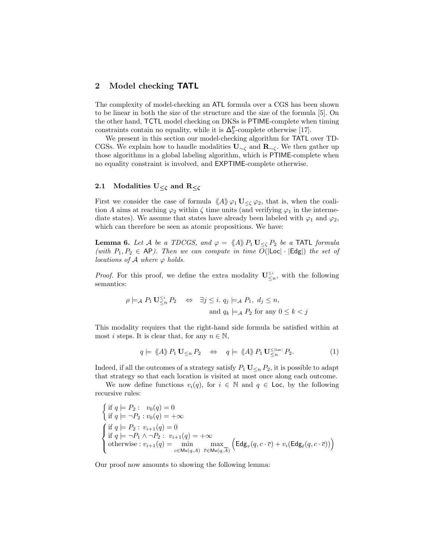## 2 Model checking TATL

The complexity of model-checking an ATL formula over a CGS has been shown to be linear in both the size of the structure and the size of the formula [5]. On the other hand, TCTL model checking on DKSs is PTIME-complete when timing constraints contain no equality, while it is  $\Delta_2^P$ -complete otherwise [17].

We present in this section our model-checking algorithm for TATL over TD-CGSs. We explain how to handle modalities  $U_{\sim \zeta}$  and  $\mathbf{R}_{\sim \zeta}$ . We then gather up those algorithms in a global labeling algorithm, which is PTIME-complete when no equality constraint is involved, and EXPTIME-complete otherwise.

## 2.1 Modalities  $U_{\leq \zeta}$  and  $R_{\leq \zeta}$

First we consider the case of formula  $\langle A \rangle \varphi_1 \mathbf{U}_{\leq \zeta} \varphi_2$ , that is, when the coalition A aims at reaching  $\varphi_2$  within  $\zeta$  time units (and verifying  $\varphi_1$  in the intermediate states). We assume that states have already been labeled with  $\varphi_1$  and  $\varphi_2$ , which can therefore be seen as atomic propositions. We have:

**Lemma 6.** Let A be a TDCGS, and  $\varphi = \langle A \rangle \rangle P_1 U \langle P_2 \rangle$  be a TATL formula (with  $P_1, P_2 \in AP$ ). Then we can compute in time  $O(|\text{Loc}| \cdot |\text{Edg}|)$  the set of locations of  $A$  where  $\varphi$  holds.

*Proof.* For this proof, we define the extra modality  $\mathbf{U}_{\leq n}^{\leq i}$ , with the following semantics:

$$
\rho \models_A P_1 \mathbf{U}_{\leq n}^{\leq i} P_2 \Leftrightarrow \exists j \leq i. \ q_j \models_A P_1, \ d_j \leq n,
$$
  
and  $q_k \models_A P_2$  for any  $0 \leq k < j$ 

This modality requires that the right-hand side formula be satisfied within at most *i* steps. It is clear that, for any  $n \in \mathbb{N}$ ,

$$
q \models \langle A \rangle \rangle P_1 \mathbf{U}_{\leq n} P_2 \quad \Leftrightarrow \quad q \models \langle A \rangle \rangle P_1 \mathbf{U}_{\leq n}^{\leq |\text{Loc}|} P_2. \tag{1}
$$

Indeed, if all the outcomes of a strategy satisfy  $P_1 \mathbf{U}_{\leq n} P_2$ , it is possible to adapt that strategy so that each location is visited at most once along each outcome.

We now define functions  $v_i(q)$ , for  $i \in \mathbb{N}$  and  $q \in \text{Loc}$ , by the following recursive rules:

$$
\begin{cases}\n\text{if } q \models P_2: \ v_0(q) = 0 \\
\text{if } q \models \neg P_2: v_0(q) = +\infty\n\end{cases}
$$
\n
$$
\begin{cases}\n\text{if } q \models P_2: v_{i+1}(q) = 0 \\
\text{if } q \models \neg P_1 \land \neg P_2: v_{i+1}(q) = +\infty \\
\text{otherwise}: v_{i+1}(q) = \min_{c \in \text{Mv}(q, A)} \max_{\overline{c} \in \text{Mv}(q, \overline{A})} \left( \text{Edg}_{\tau}(q, c \cdot \overline{c}) + v_i(\text{Edg}_{\ell}(q, c \cdot \overline{c})) \right)\n\end{cases}
$$

Our proof now amounts to showing the following lemma: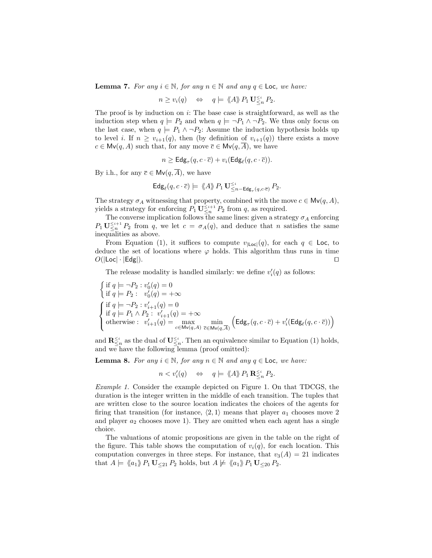**Lemma 7.** For any  $i \in \mathbb{N}$ , for any  $n \in \mathbb{N}$  and any  $q \in \text{Loc}$ , we have:

$$
n \ge v_i(q) \quad \Leftrightarrow \quad q \models \langle A \rangle \!\rangle P_1 \mathbf{U}_{\leq n}^{\leq i} P_2.
$$

The proof is by induction on  $i$ : The base case is straightforward, as well as the induction step when  $q \models P_2$  and when  $q \models \neg P_1 \land \neg P_2$ . We thus only focus on the last case, when  $q \models P_1 \land \neg P_2$ : Assume the induction hypothesis holds up to level *i*. If  $n \ge v_{i+1}(q)$ , then (by definition of  $v_{i+1}(q)$ ) there exists a move  $c \in Mv(q, A)$  such that, for any move  $\overline{c} \in Mv(q, \overline{A})$ , we have

$$
n \geq \mathsf{Edg}_{\tau}(q, c \cdot \overline{c}) + v_i(\mathsf{Edg}_{\ell}(q, c \cdot \overline{c})).
$$

By i.h., for any  $\overline{c} \in Mv(q, \overline{A})$ , we have

$$
\mathsf{Edg}_{\ell}(q, c \cdot \overline{c}) \models \langle \!\langle A \rangle \!\rangle P_1 \mathbf{U}_{\leq n - \mathsf{Edg}_{\tau}(q, c \cdot \overline{c})}^{\leq i} P_2.
$$

The strategy  $\sigma_A$  witnessing that property, combined with the move  $c \in Mv(q, A)$ , yields a strategy for enforcing  $P_1 \mathbf{U}^{\leq i+1}_{\leq n} P_2$  from q, as required.

The converse implication follows the same lines: given a strategy  $\sigma_A$  enforcing  $P_1 \mathbf{U}^{\leq i+1}_{\leq n} P_2$  from q, we let  $c = \sigma_A(q)$ , and deduce that n satisfies the same inequalities as above.

From Equation (1), it suffices to compute  $v_{|\text{Loc}|}(q)$ , for each  $q \in \text{Loc}$ , to deduce the set of locations where  $\varphi$  holds. This algorithm thus runs in time  $O(|\text{Loc}| \cdot |\text{Edg}|).$ 

The release modality is handled similarly: we define  $v_i'(q)$  as follows:

$$
\begin{cases} \text{ if } q \models \neg P_2 : \ v_0'(q) = 0 \\ \text{ if } q \models P_2 : \ v_0'(q) = +\infty \end{cases}
$$
\n
$$
\begin{cases} \text{ if } q \models \neg P_2 : v_{i+1}'(q) = 0 \\ \text{ if } q \models P_1 \land P_2 : v_{i+1}'(q) = +\infty \\ \text{ otherwise : } v_{i+1}'(q) = \max_{c \in \mathsf{Mv}(q, A)} \min_{\overline{c} \in \mathsf{Mv}(q, \overline{A})} \Big( \mathsf{Edg}_{\tau}(q, c \cdot \overline{c}) + v_i'(\mathsf{Edg}_{\ell}(q, c \cdot \overline{c})) \Big) \end{cases}
$$

and  $\mathbf{R}_{\leq n}^{\leq i}$  as the dual of  $\mathbf{U}_{\leq n}^{\leq i}$ . Then an equivalence similar to Equation (1) holds, and we have the following lemma (proof omitted):

**Lemma 8.** For any  $i \in \mathbb{N}$ , for any  $n \in \mathbb{N}$  and any  $q \in \text{Loc}$ , we have:

$$
n < v_i'(q) \quad \Leftrightarrow \quad q \models \langle \! \langle A \rangle \! \rangle \, P_1 \, \mathbf{R}^{\leq i}_{\leq n} \, P_2.
$$

Example 1. Consider the example depicted on Figure 1. On that TDCGS, the duration is the integer written in the middle of each transition. The tuples that are written close to the source location indicates the choices of the agents for firing that transition (for instance,  $\langle 2, 1 \rangle$  means that player  $a_1$  chooses move 2 and player  $a_2$  chooses move 1). They are omitted when each agent has a single choice.

The valuations of atomic propositions are given in the table on the right of the figure. This table shows the computation of  $v_i(q)$ , for each location. This computation converges in three steps. For instance, that  $v_3(A) = 21$  indicates that  $A \models \langle a_1 \rangle \, P_1 \, \mathbf{U}_{\leq 21} \, P_2$  holds, but  $A \not\models \langle a_1 \rangle \, P_1 \, \mathbf{U}_{\leq 20} \, P_2$ .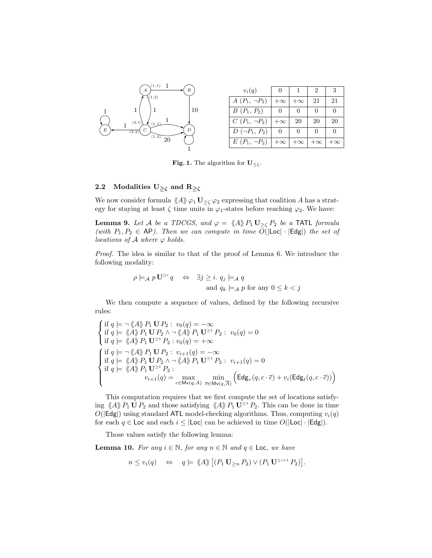

Fig. 1. The algorithm for  $\mathbf{U}_{\leq\zeta}$ .

## 2.2 Modalities  $U_{\geq \zeta}$  and  $R_{\geq \zeta}$

We now consider formula  $\langle A \rangle \varphi_1 \mathbf{U}_{\geq \zeta} \varphi_2$  expressing that coalition A has a strategy for staying at least  $\zeta$  time units in  $\varphi_1$ -states before reaching  $\varphi_2$ . We have:

**Lemma 9.** Let A be a TDCGS, and  $\varphi = \langle A \rangle \rangle P_1 \mathbf{U}_{\geq \zeta} P_2$  be a TATL formula (with  $P_1, P_2 \in \mathsf{AP}$ ). Then we can compute in time  $O(|\mathsf{Loc}| \cdot |\mathsf{Edg}|)$  the set of locations of  $A$  where  $\varphi$  holds.

Proof. The idea is similar to that of the proof of Lemma 6. We introduce the following modality:

$$
\rho \models_A p \mathbf{U}^{\geq i} q \quad \Leftrightarrow \quad \exists j \geq i. \ q_j \models_A q
$$
  
and  $q_k \models_A p$  for any  $0 \leq k < j$ 

We then compute a sequence of values, defined by the following recursive rules:

$$
\begin{cases}\n\text{if } q \models \neg \langle \!\langle A \rangle \!\rangle P_1 \mathbf{U} P_2 : v_0(q) = -\infty \\
\text{if } q \models \langle \!\langle A \rangle \!\rangle P_1 \mathbf{U} P_2 \land \neg \langle \!\langle A \rangle \!\rangle P_1 \mathbf{U}^{\geq 1} P_2 : v_0(q) = 0 \\
\text{if } q \models \langle \!\langle A \rangle \!\rangle P_1 \mathbf{U}^{\geq 1} P_2 : v_0(q) = +\infty\n\end{cases}
$$
\n
$$
\begin{cases}\n\text{if } q \models \neg \langle \!\langle A \rangle \rangle P_1 \mathbf{U} P_2 : v_{i+1}(q) = -\infty \\
\text{if } q \models \langle \!\langle A \rangle \rangle P_1 \mathbf{U} P_2 \land \neg \langle \!\langle A \rangle \rangle P_1 \mathbf{U}^{\geq 1} P_2 : v_{i+1}(q) = 0 \\
\text{if } q \models \langle \!\langle A \rangle \rangle P_1 \mathbf{U}^{\geq 1} P_2 : \\
v_{i+1}(q) = \max_{c \in \text{Mv}(q, A)} \min_{\overline{c} \in \text{Mv}(q, \overline{A})} \left( \text{Edg}_{\tau}(q, c \cdot \overline{c}) + v_i(\text{Edg}_{\ell}(q, c \cdot \overline{c})) \right)\n\end{cases}
$$

This computation requires that we first compute the set of locations satisfying  $\langle A \rangle P_1 \mathbf{U} P_2$  and those satisfying  $\langle A \rangle P_1 \mathbf{U}^{\geq 1} P_2$ . This can be done in time  $O(|Edg|)$  using standard ATL model-checking algorithms. Thus, computing  $v_i(q)$ for each  $q \in \text{Loc}$  and each  $i \leq |\text{Loc}|$  can be achieved in time  $O(|\text{Loc}| \cdot |\text{Edg}|)$ .

Those values satisfy the following lemma:

**Lemma 10.** For any  $i \in \mathbb{N}$ , for any  $n \in \mathbb{N}$  and  $q \in \text{Loc}$ , we have

$$
n \le v_i(q) \quad \Leftrightarrow \quad q \models \langle \! \langle A \rangle \! \rangle \left[ (P_1 \mathbf{U}_{\ge n} P_2) \vee (P_1 \mathbf{U}^{\ge i+1} P_2) \right].
$$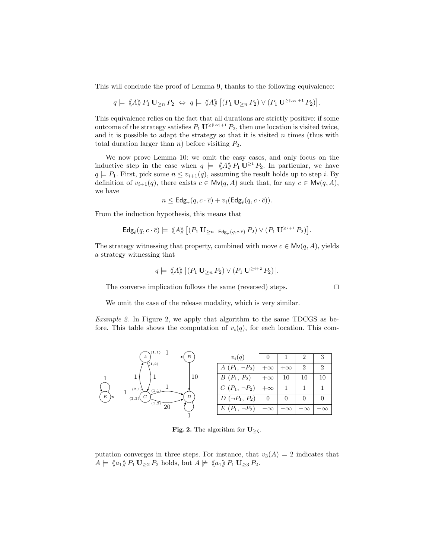This will conclude the proof of Lemma 9, thanks to the following equivalence:

$$
q \models \langle A \rangle \negthinspace \rangle \, P_1 \, \mathbf{U}_{\geq n} \, P_2 \; \Leftrightarrow \; q \models \langle \negthinspace \langle A \rangle \rangle \, \big[ (P_1 \, \mathbf{U}_{\geq n} \, P_2) \vee (P_1 \, \mathbf{U}^{\geq |\text{Loc}|+1} \, P_2) \big].
$$

This equivalence relies on the fact that all durations are strictly positive: if some outcome of the strategy satisfies  $P_1 \mathbf{U}^{\ge |\text{Loc}|+1} P_2$ , then one location is visited twice, and it is possible to adapt the strategy so that it is visited  $n$  times (thus with total duration larger than *n*) before visiting  $P_2$ .

We now prove Lemma 10: we omit the easy cases, and only focus on the inductive step in the case when  $q \models \langle A \rangle P_1 \mathbf{U}^{\geq 1} P_2$ . In particular, we have  $q \models P_1$ . First, pick some  $n \leq v_{i+1}(q)$ , assuming the result holds up to step i. By definition of  $v_{i+1}(q)$ , there exists  $c \in Mv(q, A)$  such that, for any  $\overline{c} \in Mv(q, \overline{A})$ , we have

$$
n \leq \mathsf{Edg}_{\tau}(q, c \cdot \overline{c}) + v_i(\mathsf{Edg}_{\ell}(q, c \cdot \overline{c})).
$$

From the induction hypothesis, this means that

$$
\mathsf{Edg}_{\ell}(q, c \cdot \overline{c}) \models \langle \!\langle A \rangle \rangle \big[ (P_1 \mathbf{U}_{\geq n - \mathsf{Edg}_{\tau}(q, c \cdot \overline{c})} P_2) \vee (P_1 \mathbf{U}^{\geq i+1} P_2) \big].
$$

The strategy witnessing that property, combined with move  $c \in Mv(q, A)$ , yields a strategy witnessing that

$$
q \models \langle \! \langle A \rangle \! \rangle \left[ (P_1 \mathbf{U}_{\geq n} P_2) \vee (P_1 \mathbf{U}^{\geq i+2} P_2) \right].
$$

The converse implication follows the same (reversed) steps.  $\Box$ 

We omit the case of the release modality, which is very similar.

Example 2. In Figure 2, we apply that algorithm to the same TDCGS as before. This table shows the computation of  $v_i(q)$ , for each location. This com-



**Fig. 2.** The algorithm for  $\mathbf{U}_{\geq\zeta}$ .

putation converges in three steps. For instance, that  $v_3(A) = 2$  indicates that  $A \models \langle \langle a_1 \rangle \rangle P_1 \mathbf{U}_{\geq 2} P_2$  holds, but  $A \not\models \langle \langle a_1 \rangle \rangle P_1 \mathbf{U}_{\geq 3} P_2$ .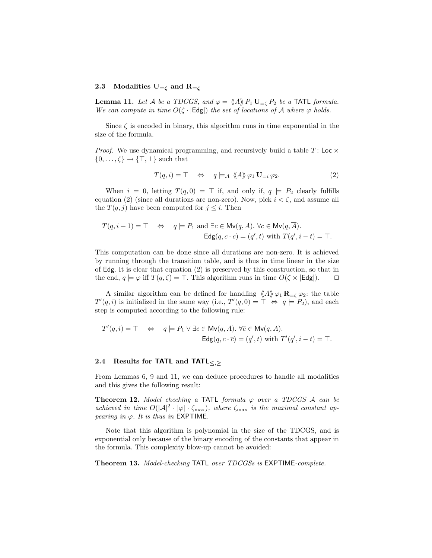#### 2.3 Modalities  $U_{=\zeta}$  and  $R_{=\zeta}$

**Lemma 11.** Let A be a TDCGS, and  $\varphi = \langle A \rangle P_1 \mathbf{U}_{=\zeta} P_2$  be a TATL formula. We can compute in time  $O(\zeta \cdot |\text{Edg}|)$  the set of locations of A where  $\varphi$  holds.

Since  $\zeta$  is encoded in binary, this algorithm runs in time exponential in the size of the formula.

*Proof.* We use dynamical programming, and recursively build a table  $T:$  Loc  $\times$  $\{0,\ldots,\zeta\}\to\{\top,\bot\}$  such that

$$
T(q, i) = \top \Leftrightarrow q \models_{\mathcal{A}} \langle A \rangle \varphi_1 \mathbf{U}_{=i} \varphi_2.
$$
 (2)

When  $i = 0$ , letting  $T(q, 0) = \top$  if, and only if,  $q \models P_2$  clearly fulfills equation (2) (since all durations are non-zero). Now, pick  $i < \zeta$ , and assume all the  $T(q, j)$  have been computed for  $j \leq i$ . Then

$$
T(q, i + 1) = \top \Leftrightarrow q \models P_1 \text{ and } \exists c \in \text{Mv}(q, A). \forall \overline{c} \in \text{Mv}(q, \overline{A}).
$$
  
\n
$$
\text{Edg}(q, c \cdot \overline{c}) = (q', t) \text{ with } T(q', i - t) = \top.
$$

This computation can be done since all durations are non-zero. It is achieved by running through the transition table, and is thus in time linear in the size of Edg. It is clear that equation (2) is preserved by this construction, so that in the end,  $q \models \varphi$  iff  $T(q, \zeta) = \top$ . This algorithm runs in time  $O(\zeta \times |\text{Edg}|)$ .  $\Box$ 

A similar algorithm can be defined for handling  $\langle A \rangle \varphi_1 \mathbf{R}_{= \zeta} \varphi_2$ : the table  $T'(q, i)$  is initialized in the same way (i.e.,  $T'(q, 0) = \top \Leftrightarrow q \models P_2$ ), and each step is computed according to the following rule:

$$
T'(q, i) = \top \Leftrightarrow q \models P_1 \lor \exists c \in \text{Mv}(q, A). \forall \overline{c} \in \text{Mv}(q, \overline{A}).
$$
  
\n
$$
\text{Edg}(q, c \cdot \overline{c}) = (q', t) \text{ with } T'(q', i - t) = \top.
$$

### 2.4 Results for **TATL** and **TATL** $\langle \cdot \rangle$

From Lemmas 6, 9 and 11, we can deduce procedures to handle all modalities and this gives the following result:

**Theorem 12.** Model checking a TATL formula  $\varphi$  over a TDCGS A can be achieved in time  $O(|A|^2 \cdot |\varphi| \cdot \zeta_{\max})$ , where  $\zeta_{\max}$  is the maximal constant appearing in  $\varphi$ . It is thus in EXPTIME.

Note that this algorithm is polynomial in the size of the TDCGS, and is exponential only because of the binary encoding of the constants that appear in the formula. This complexity blow-up cannot be avoided:

Theorem 13. Model-checking TATL over TDCGSs is EXPTIME-complete.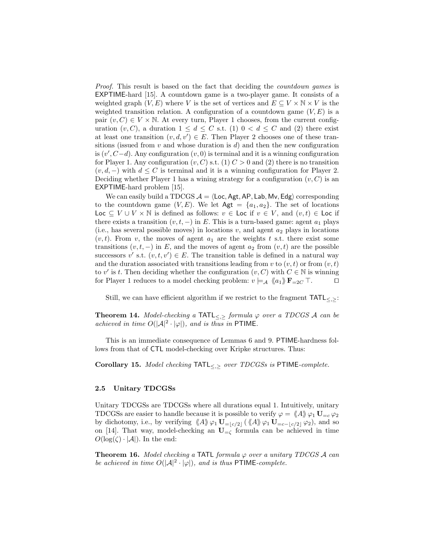Proof. This result is based on the fact that deciding the *countdown games* is EXPTIME-hard [15]. A countdown game is a two-player game. It consists of a weighted graph  $(V, E)$  where V is the set of vertices and  $E \subseteq V \times N \times V$  is the weighted transition relation. A configuration of a countdown game  $(V, E)$  is a pair  $(v, C) \in V \times \mathbb{N}$ . At every turn, Player 1 chooses, from the current configuration  $(v, C)$ , a duration  $1 \leq d \leq C$  s.t. (1)  $0 < d \leq C$  and (2) there exist at least one transition  $(v, d, v') \in E$ . Then Player 2 chooses one of these transitions (issued from  $v$  and whose duration is  $d$ ) and then the new configuration is  $(v', C-d)$ . Any configuration  $(v, 0)$  is terminal and it is a winning configuration for Player 1. Any configuration  $(v, C)$  s.t. (1)  $C > 0$  and (2) there is no transition  $(v, d, -)$  with  $d \leq C$  is terminal and it is a winning configuration for Player 2. Deciding whether Player 1 has a wining strategy for a configuration  $(v, C)$  is an EXPTIME-hard problem [15].

We can easily build a TDCGS  $A = \langle \text{Loc}, \text{Agt}, \text{AP}, \text{Lab}, \text{Mv}, \text{Edg} \rangle$  corresponding to the countdown game  $(V, E)$ . We let  $\mathsf{Agt} = \{a_1, a_2\}$ . The set of locations Loc  $\subseteq V \cup V \times \mathbb{N}$  is defined as follows:  $v \in$  Loc if  $v \in V$ , and  $(v, t) \in$  Loc if there exists a transition  $(v, t, -)$  in E. This is a turn-based game: agent  $a_1$  plays (i.e., has several possible moves) in locations v, and agent  $a_2$  plays in locations  $(v, t)$ . From v, the moves of agent  $a_1$  are the weights t s.t. there exist some transitions  $(v, t, -)$  in E, and the moves of agent  $a_2$  from  $(v, t)$  are the possible successors v' s.t.  $(v, t, v') \in E$ . The transition table is defined in a natural way and the duration associated with transitions leading from v to  $(v, t)$  or from  $(v, t)$ to v' is t. Then deciding whether the configuration  $(v, C)$  with  $C \in \mathbb{N}$  is winning for Player 1 reduces to a model checking problem:  $v \models_{\mathcal{A}} \langle a_1 \rangle \mathbf{F}_{=2C} \top$ .

Still, we can have efficient algorithm if we restrict to the fragment  $TATL_{\leq, \geq}$ :

**Theorem 14.** Model-checking a TATL $\leq, \geq$  formula  $\varphi$  over a TDCGS A can be achieved in time  $O(|A|^2 \cdot |\varphi|)$ , and is thus in PTIME.

This is an immediate consequence of Lemmas 6 and 9. PTIME-hardness follows from that of CTL model-checking over Kripke structures. Thus:

Corollary 15. Model checking TATL $\lt\lt$  > over TDCGSs is PTIME-complete.

#### 2.5 Unitary TDCGSs

Unitary TDCGSs are TDCGSs where all durations equal 1. Intuitively, unitary TDCGSs are easier to handle because it is possible to verify  $\varphi = \langle A \rangle \varphi_1 \mathbf{U}_{=c} \varphi_2$ by dichotomy, i.e., by verifying  $\langle A \rangle \varphi_1 \mathbf{U}_{=\lfloor c/2 \rfloor}(\langle \langle A \rangle \rangle \varphi_1 \mathbf{U}_{=c-\lfloor c/2 \rfloor} \varphi_2)$ , and so on [14]. That way, model-checking an  $U_{-\zeta}$  formula can be achieved in time  $O(\log(\zeta) \cdot |\mathcal{A}|)$ . In the end:

**Theorem 16.** Model checking a TATL formula  $\varphi$  over a unitary TDCGS A can be achieved in time  $O(|A|^2 \cdot |\varphi|)$ , and is thus PTIME-complete.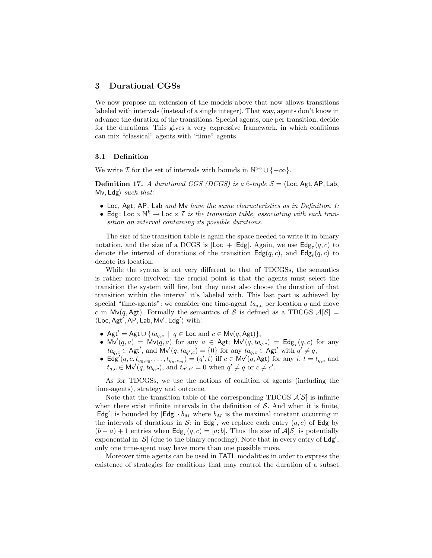## 3 Durational CGSs

We now propose an extension of the models above that now allows transitions labeled with intervals (instead of a single integer). That way, agents don't know in advance the duration of the transitions. Special agents, one per transition, decide for the durations. This gives a very expressive framework, in which coalitions can mix "classical" agents with "time" agents.

#### 3.1 Definition

We write  $\mathcal I$  for the set of intervals with bounds in  $\mathbb N^{>0} \cup \{+\infty\}.$ 

**Definition 17.** A durational CGS (DCGS) is a 6-tuple  $S = \text{\texttt{Loc},\texttt{Agt},\texttt{AP},\texttt{Lab},}$ Mv, Edg $\rangle$  such that:

- Loc, Agt, AP, Lab and Mv have the same characteristics as in Definition 1;
- Edg: Loc  $\times \mathbb{N}^k \to$  Loc  $\times \mathcal{I}$  is the transition table, associating with each transition an interval containing its possible durations.

The size of the transition table is again the space needed to write it in binary notation, and the size of a DCGS is  $|\textsf{Loc}| + |\textsf{Edg}|$ . Again, we use  $\textsf{Edg}_{\tau}(q, c)$  to denote the interval of durations of the transition  $\textsf{Edg}(q, c)$ , and  $\textsf{Edg}_{\ell}(q, c)$  to denote its location.

While the syntax is not very different to that of TDCGSs, the semantics is rather more involved: the crucial point is that the agents must select the transition the system will fire, but they must also choose the duration of that transition within the interval it's labeled with. This last part is achieved by special "time-agents": we consider one time-agent  $ta_{q,c}$  per location q and move c in Mv(q, Agt). Formally the semantics of S is defined as a TDCGS  $\mathcal{A}[\mathcal{S}] =$  $\langle$ Loc, Agt', AP, Lab, Mv', Edg' $\rangle$  with:

- Agt' = Agt  $\cup \{ta_{q,c} \mid q \in \text{Loc} \text{ and } c \in \text{Mv}(q,\text{Agt})\},$
- $Mv'(q, a) = Mv(q, a)$  for any  $a \in Agt$ ;  $Mv'(q, ta_{q,c}) = Edg_{\tau}(q, c)$  for any  $ta_{q,c} \in \mathsf{Agt}'$ , and  $\mathsf{Mv}'(q, ta_{q',c}) = \{0\}$  for any  $ta_{q,c} \in \mathsf{Agt}'$  with  $q' \neq q$ ,
- Edg'(q, c,  $t_{q_0, c_0}, \ldots, t_{q_n, c_m}$ ) = (q', t) iff  $c \in Mv'(q, \text{Agt})$  for any  $i, t = t_{q,c}$  and  $t_{q,c} \in \mathsf{Mv}'(q, ta_{q,c})$ , and  $t_{q',c'} = 0$  when  $q' \neq q$  or  $c \neq c'$ .

As for TDCGSs, we use the notions of coalition of agents (including the time-agents), strategy and outcome.

Note that the transition table of the corresponding TDCGS  $\mathcal{A}[\mathcal{S}]$  is infinite when there exist infinite intervals in the definition of  $S$ . And when it is finite,  $|\textsf{Edg}'|$  is bounded by  $|\textsf{Edg}| \cdot b_M$  where  $b_M$  is the maximal constant occurring in the intervals of durations in S: in Edg', we replace each entry  $(q, c)$  of Edg by  $(b-a)+1$  entries when  $\mathsf{Edg}_{\tau}(q,c)=[a;b]$ . Thus the size of  $\mathcal{A}[\mathcal{S}]$  is potentially exponential in  $|\mathcal{S}|$  (due to the binary encoding). Note that in every entry of  $\textsf{Edg}'$ , only one time-agent may have more than one possible move.

Moreover time agents can be used in TATL modalities in order to express the existence of strategies for coalitions that may control the duration of a subset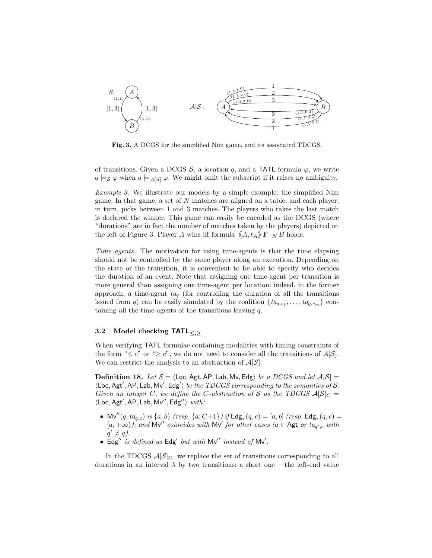

Fig. 3. A DCGS for the simplified Nim game, and its associated TDCGS.

of transitions. Given a DCGS  $S$ , a location q, and a TATL formula  $\varphi$ , we write  $q \models_{\mathcal{S}} \varphi$  when  $q \models_{\mathcal{A}[\mathcal{S}]} \varphi$ . We might omit the subscript if it raises no ambiguity.

Example 3. We illustrate our models by a simple example: the simplified Nim game. In that game, a set of N matches are aligned on a table, and each player, in turn, picks between 1 and 3 matches. The players who takes the last match is declared the winner. This game can easily be encoded as the DCGS (where "durations" are in fact the number of matches taken by the players) depicted on the left of Figure 3. Player A wins iff formula  $\langle A, t_A \rangle \mathbf{F}_{=N} B$  holds.

Time agents. The motivation for using time-agents is that the time elapsing should not be controlled by the same player along an execution. Depending on the state or the transition, it is convenient to be able to specify who decides the duration of an event. Note that assigning one time-agent per transition is more general than assigning one time-agent per location: indeed, in the former approach, a time-agent  $ta_q$  (for controlling the duration of all the transitions issued from q) can be easily simulated by the coalition  $\{t a_{q,c_1}, \ldots, t a_{q,c_m}\}\$  containing all the time-agents of the transitions leaving q.

# 3.2 Model checking  $TATL_{\leq,>}$

When verifying TATL formulae containing modalities with timing constraints of the form " $\leq c$ " or " $\geq c$ ", we do not need to consider all the transitions of  $\mathcal{A}[\mathcal{S}]$ . We can restrict the analysis to an abstraction of  $\mathcal{A}[\mathcal{S}]$ :

**Definition 18.** Let  $S = \text{Loc, Agt, AP, Lab, Mv, Edg}$  be a DCGS and let  $A[S] =$  $\langle$ Loc, Agt', AP, Lab, Mv', Edg') be the TDCGS corresponding to the semantics of S. Given an integer C, we define the C-abstraction of S as the TDCGS  $\mathcal{A}[\mathcal{S}]_C =$  $\langle$ Loc, Agt', AP, Lab, Mv", Edg" $\rangle$  with:

- Mv" $(q, ta_{q,c})$  is  $\{a, b\}$  (resp.  $\{a; C+1\}$ ) if  $\textsf{Edg}_{\tau}(q, c) = [a, b]$  (resp.  $\textsf{Edg}_{\tau}(q, c) =$  $[a, +\infty)$ ; and Mv'' coincides with Mv' for other cases (a  $\in$  Agt or ta<sub>q',c</sub> with  $q' \neq q$ ).
- Edg" is defined as Edg' but with  $Mv''$  instead of  $Mv'$ .

In the TDCGS  $\mathcal{A}[\mathcal{S}]_C$ , we replace the set of transitions corresponding to all durations in an interval  $\lambda$  by two transitions: a short one —the left-end value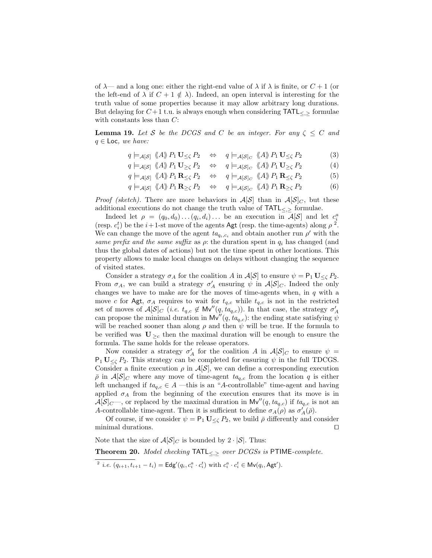of  $\lambda$ — and a long one: either the right-end value of  $\lambda$  if  $\lambda$  is finite, or  $C+1$  (or the left-end of  $\lambda$  if  $C + 1 \notin \lambda$ ). Indeed, an open interval is interesting for the truth value of some properties because it may allow arbitrary long durations. But delaying for  $C+1$  t.u. is always enough when considering  $\text{TATL}_{\leq, \geq}$  formulae with constants less than  $C$ :

**Lemma 19.** Let S be the DCGS and C be an integer. For any  $\zeta \leq C$  and  $q \in \textsf{Loc}, we have:$ 

$$
q \models_{\mathcal{A}[\mathcal{S}]} \langle \langle A \rangle \rangle P_1 \mathbf{U}_{\leq \zeta} P_2 \quad \Leftrightarrow \quad q \models_{\mathcal{A}[\mathcal{S}]_C} \langle \langle A \rangle \rangle P_1 \mathbf{U}_{\leq \zeta} P_2 \tag{3}
$$

$$
q \models_{\mathcal{A}[\mathcal{S}]} \langle \langle A \rangle \rangle P_1 \mathbf{U}_{\geq \zeta} P_2 \quad \Leftrightarrow \quad q \models_{\mathcal{A}[\mathcal{S}]_C} \langle \langle A \rangle \rangle P_1 \mathbf{U}_{\geq \zeta} P_2 \tag{4}
$$

$$
q \models_{\mathcal{A}[\mathcal{S}]} \langle \!\langle A \rangle \rangle \, P_1 \mathbf{R}_{\leq \zeta} \, P_2 \quad \Leftrightarrow \quad q \models_{\mathcal{A}[\mathcal{S}]_C} \langle \!\langle A \rangle \rangle \, P_1 \mathbf{R}_{\leq \zeta} \, P_2 \tag{5}
$$

$$
q \models_{\mathcal{A}[\mathcal{S}]} \langle A \rangle \langle P_1 \mathbf{R}_{\geq \zeta} P_2 \quad \Leftrightarrow \quad q \models_{\mathcal{A}[\mathcal{S}]_C} \langle \langle A \rangle \rangle \langle P_1 \mathbf{R}_{\geq \zeta} P_2 \tag{6}
$$

*Proof (sketch)*. There are more behaviors in  $\mathcal{A}[\mathcal{S}]$  than in  $\mathcal{A}[\mathcal{S}]_C$ , but these additional executions do not change the truth value of  $TATL_{\leq,>}$  formulae.

Indeed let  $\rho = (q_0, d_0) \dots (q_i, d_i) \dots$  be an execution in  $\mathcal{A}[\mathcal{S}]$  and let  $c_i^a$ (resp.  $c_i^t$ ) be the  $i+1$ -st move of the agents Agt (resp. the time-agents) along  $\rho^2$ . We can change the move of the agent  $t a_{q_i,c_i}$  and obtain another run  $\rho'$  with the same prefix and the same suffix as  $\rho$ : the duration spent in  $q_i$  has changed (and thus the global dates of actions) but not the time spent in other locations. This property allows to make local changes on delays without changing the sequence of visited states.

Consider a strategy  $\sigma_A$  for the coalition A in  $\mathcal{A}[\mathcal{S}]$  to ensure  $\psi = \mathsf{P}_1 \mathbf{U}_{\leq \zeta} P_2$ . From  $\sigma_A$ , we can build a strategy  $\sigma'_A$  ensuring  $\psi$  in  $\mathcal{A}[\mathcal{S}]_C$ . Indeed the only changes we have to make are for the moves of time-agents when, in  $q$  with a move c for Agt,  $\sigma_A$  requires to wait for  $t_{q,c}$  while  $t_{q,c}$  is not in the restricted set of moves of  $\mathcal{A}[\mathcal{S}]_C$  (*i.e.*  $t_{q,c} \notin \mathsf{Mv}''(q, ta_{q,c})$ ). In that case, the strategy  $\sigma'_A$ can propose the minimal duration in  $\mathsf{Mv}''(q, ta_{q,c})$ : the ending state satisfying  $\psi$ will be reached sooner than along  $\rho$  and then  $\psi$  will be true. If the formula to be verified was  $U_{\geq c}$  then the maximal duration will be enough to ensure the formula. The same holds for the release operators.

Now consider a strategy  $\sigma'_A$  for the coalition A in  $\mathcal{A}[\mathcal{S}]_C$  to ensure  $\psi =$  $P_1 U_{\leq \zeta} P_2$ . This strategy can be completed for ensuring  $\psi$  in the full TDCGS. Consider a finite execution  $\rho$  in  $\mathcal{A}[\mathcal{S}]$ , we can define a corresponding execution  $\bar{\rho}$  in  $\mathcal{A}[\mathcal{S}]_C$  where any move of time-agent  $ta_{q,c}$  from the location q is either left unchanged if  $ta_{q,c} \in A$  —this is an "A-controllable" time-agent and having applied  $\sigma_A$  from the beginning of the execution ensures that its move is in  $\mathcal{A}[\mathcal{S}]_C$ , or replaced by the maximal duration in  $\mathsf{Mv}''(q, ta_{q,c})$  if  $ta_{q,c}$  is not an A-controllable time-agent. Then it is sufficient to define  $\sigma_A(\rho)$  as  $\sigma'_A(\bar{\rho})$ .

Of course, if we consider  $\psi = \mathsf{P}_1 \mathbf{U}_{< \mathcal{C}} P_2$ , we build  $\bar{\rho}$  differently and consider minimal durations.  $\Box$ 

Note that the size of  $\mathcal{A}[\mathcal{S}]_C$  is bounded by  $2 \cdot |\mathcal{S}|$ . Thus:

Theorem 20. Model checking  $TATL_{<<}$  over DCGSs is PTIME-complete.

<sup>&</sup>lt;sup>2</sup> *i.e.*  $(q_{i+1}, t_{i+1} - t_i) = \text{Edg}'(q_i, c_i^a \cdot c_i^t)$  with  $c_i^a \cdot c_i^t \in Mv(q_i, \text{Agt}').$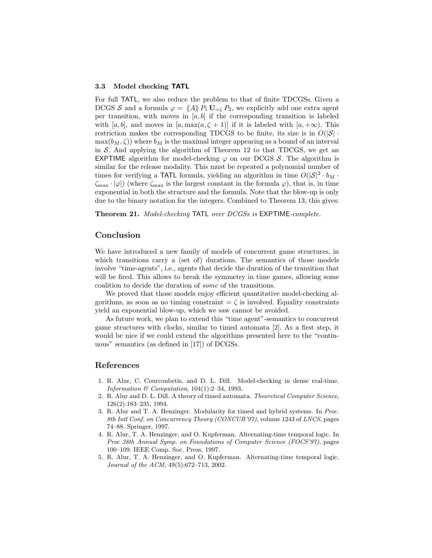#### 3.3 Model checking TATL

For full TATL, we also reduce the problem to that of finite TDCGSs. Given a DCGS S and a formula  $\varphi = \langle A \rangle P_1 \mathbf{U}_{=\zeta} P_2$ , we explicitly add one extra agent per transition, with moves in  $[a, b]$  if the corresponding transition is labeled with [a, b], and moves in  $[a, \max(a, \zeta + 1)]$  if it is labeled with  $[a, +\infty)$ . This restriction makes the corresponding TDCGS to be finite, its size is in  $O(|\mathcal{S}| \cdot$  $\max(b_M, \zeta)$  where  $b_M$  is the maximal integer appearing as a bound of an interval in  $S$ . And applying the algorithm of Theorem 12 to that TDCGS, we get an **EXPTIME** algorithm for model-checking  $\varphi$  on our DCGS S. The algorithm is similar for the release modality. This must be repeated a polynomial number of times for verifying a TATL formula, yielding an algorithm in time  $O(|\mathcal{S}|^2 \cdot b_M \cdot$  $\zeta_{\text{max}} \cdot |\varphi|$  (where  $\zeta_{\text{max}}$  is the largest constant in the formula  $\varphi$ ), that is, in time exponential in both the structure and the formula. Note that the blow-up is only due to the binary notation for the integers. Combined to Theorem 13, this gives:

Theorem 21. Model-checking TATL over DCGSs is EXPTIME-complete.

## Conclusion

We have introduced a new family of models of concurrent game structures, in which transitions carry a (set of) durations. The semantics of those models involve "time-agents", i.e., agents that decide the duration of the transition that will be fired. This allows to break the symmetry in time games, allowing some coalition to decide the duration of some of the transitions.

We proved that those models enjoy efficient quantitative model-checking algorithms, as soon as no timing constraint  $\equiv \zeta$  is involved. Equality constraints yield an exponential blow-up, which we saw cannot be avoided.

As future work, we plan to extend this "time agent"-semantics to concurrent game structures with clocks, similar to timed automata [2]. As a first step, it would be nice if we could extend the algorithms presented here to the "continuous" semantics (as defined in [17]) of DCGSs.

## References

- 1. R. Alur, C. Courcoubetis, and D. L. Dill. Model-checking in dense real-time. Information  $\mathcal C$  Computation, 104(1):2–34, 1993.
- 2. R. Alur and D. L. Dill. A theory of timed automata. Theoretical Computer Science, 126(2):183–235, 1994.
- 3. R. Alur and T. A. Henzinger. Modularity for timed and hybrid systems. In Proc. 8th Intl Conf. on Concurrency Theory (CONCUR'97), volume 1243 of LNCS, pages 74–88. Springer, 1997.
- 4. R. Alur, T. A. Henzinger, and O. Kupferman. Alternating-time temporal logic. In Proc 38th Annual Symp. on Foundations of Computer Science (FOCS'97), pages 100–109. IEEE Comp. Soc. Press, 1997.
- 5. R. Alur, T. A. Henzinger, and O. Kupferman. Alternating-time temporal logic. Journal of the ACM, 49(5):672–713, 2002.